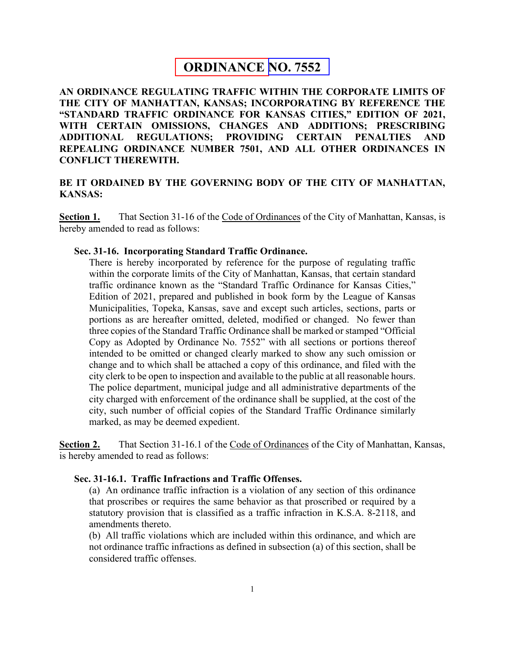# **ORDINANCE NO. 7552**

**AN ORDINANCE REGULATING TRAFFIC WITHIN THE CORPORATE LIMITS OF THE CITY OF MANHATTAN, KANSAS; INCORPORATING BY REFERENCE THE "STANDARD TRAFFIC ORDINANCE FOR KANSAS CITIES," EDITION OF 2021, WITH CERTAIN OMISSIONS, CHANGES AND ADDITIONS; PRESCRIBING ADDITIONAL REGULATIONS; PROVIDING CERTAIN PENALTIES AND REPEALING ORDINANCE NUMBER 7501, AND ALL OTHER ORDINANCES IN CONFLICT THEREWITH.**

# **BE IT ORDAINED BY THE GOVERNING BODY OF THE CITY OF MANHATTAN, KANSAS:**

**Section 1.** That Section 31-16 of the Code of Ordinances of the City of Manhattan, Kansas, is hereby amended to read as follows:

### **Sec. 31-16. Incorporating Standard Traffic Ordinance.**

There is hereby incorporated by reference for the purpose of regulating traffic within the corporate limits of the City of Manhattan, Kansas, that certain standard traffic ordinance known as the "Standard Traffic Ordinance for Kansas Cities," Edition of 2021, prepared and published in book form by the League of Kansas Municipalities, Topeka, Kansas, save and except such articles, sections, parts or portions as are hereafter omitted, deleted, modified or changed. No fewer than three copies of the Standard Traffic Ordinance shall be marked or stamped "Official Copy as Adopted by Ordinance No. 7552" with all sections or portions thereof intended to be omitted or changed clearly marked to show any such omission or change and to which shall be attached a copy of this ordinance, and filed with the city clerk to be open to inspection and available to the public at all reasonable hours. The police department, municipal judge and all administrative departments of the city charged with enforcement of the ordinance shall be supplied, at the cost of the city, such number of official copies of the Standard Traffic Ordinance similarly marked, as may be deemed expedient.

**Section 2.** That Section 31-16.1 of the Code of Ordinances of the City of Manhattan, Kansas, is hereby amended to read as follows:

# **Sec. 31-16.1. Traffic Infractions and Traffic Offenses.**

(a) An ordinance traffic infraction is a violation of any section of this ordinance that proscribes or requires the same behavior as that proscribed or required by a statutory provision that is classified as a traffic infraction in K.S.A. 8-2118, and amendments thereto.

(b) All traffic violations which are included within this ordinance, and which are not ordinance traffic infractions as defined in subsection (a) of this section, shall be considered traffic offenses.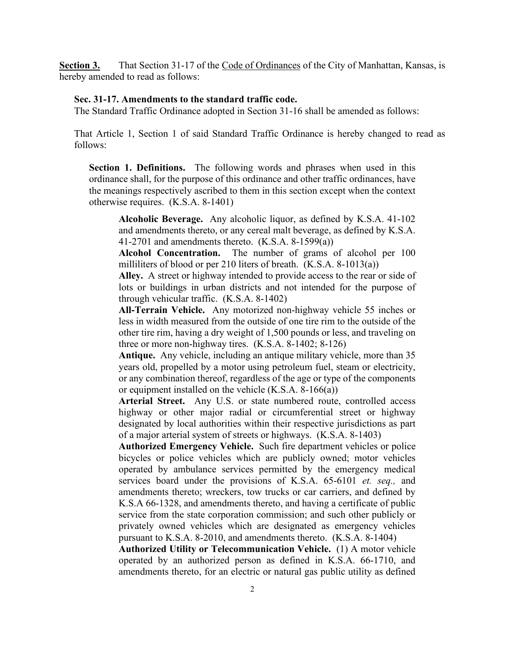Section 3. That Section 31-17 of the Code of Ordinances of the City of Manhattan, Kansas, is hereby amended to read as follows:

#### **Sec. 31-17. Amendments to the standard traffic code.**

The Standard Traffic Ordinance adopted in Section 31-16 shall be amended as follows:

That Article 1, Section 1 of said Standard Traffic Ordinance is hereby changed to read as follows:

**Section 1. Definitions.** The following words and phrases when used in this ordinance shall, for the purpose of this ordinance and other traffic ordinances, have the meanings respectively ascribed to them in this section except when the context otherwise requires. (K.S.A. 8-1401)

**Alcoholic Beverage.** Any alcoholic liquor, as defined by K.S.A. 41-102 and amendments thereto, or any cereal malt beverage, as defined by K.S.A. 41-2701 and amendments thereto. (K.S.A. 8-1599(a))

**Alcohol Concentration.** The number of grams of alcohol per 100 milliliters of blood or per 210 liters of breath. (K.S.A. 8-1013(a))

**Alley.** A street or highway intended to provide access to the rear or side of lots or buildings in urban districts and not intended for the purpose of through vehicular traffic. (K.S.A. 8-1402)

**All-Terrain Vehicle.** Any motorized non-highway vehicle 55 inches or less in width measured from the outside of one tire rim to the outside of the other tire rim, having a dry weight of 1,500 pounds or less, and traveling on three or more non-highway tires. (K.S.A. 8-1402; 8-126)

**Antique.** Any vehicle, including an antique military vehicle, more than 35 years old, propelled by a motor using petroleum fuel, steam or electricity, or any combination thereof, regardless of the age or type of the components or equipment installed on the vehicle (K.S.A. 8-166(a))

**Arterial Street.** Any U.S. or state numbered route, controlled access highway or other major radial or circumferential street or highway designated by local authorities within their respective jurisdictions as part of a major arterial system of streets or highways. (K.S.A. 8-1403)

**Authorized Emergency Vehicle.** Such fire department vehicles or police bicycles or police vehicles which are publicly owned; motor vehicles operated by ambulance services permitted by the emergency medical services board under the provisions of K.S.A. 65-6101 *et. seq.,* and amendments thereto; wreckers, tow trucks or car carriers, and defined by K.S.A 66-1328, and amendments thereto, and having a certificate of public service from the state corporation commission; and such other publicly or privately owned vehicles which are designated as emergency vehicles pursuant to K.S.A. 8-2010, and amendments thereto. (K.S.A. 8-1404)

**Authorized Utility or Telecommunication Vehicle.** (1) A motor vehicle operated by an authorized person as defined in K.S.A. 66-1710, and amendments thereto, for an electric or natural gas public utility as defined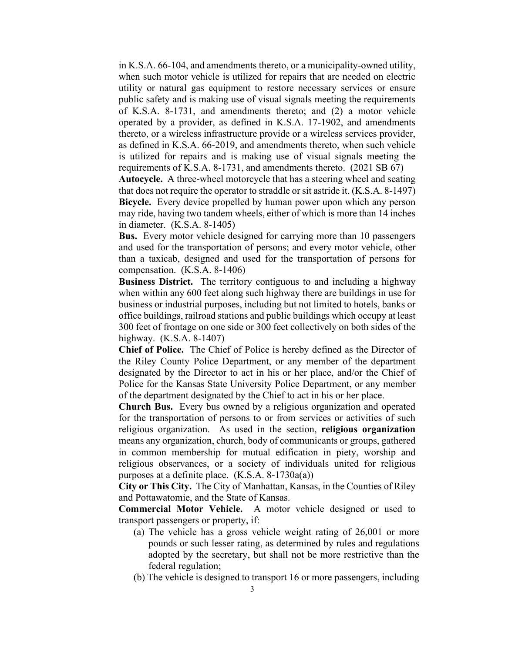in K.S.A. 66-104, and amendments thereto, or a municipality-owned utility, when such motor vehicle is utilized for repairs that are needed on electric utility or natural gas equipment to restore necessary services or ensure public safety and is making use of visual signals meeting the requirements of K.S.A. 8-1731, and amendments thereto; and (2) a motor vehicle operated by a provider, as defined in K.S.A. 17-1902, and amendments thereto, or a wireless infrastructure provide or a wireless services provider, as defined in K.S.A. 66-2019, and amendments thereto, when such vehicle is utilized for repairs and is making use of visual signals meeting the requirements of K.S.A. 8-1731, and amendments thereto. (2021 SB 67)

**Autocycle.** A three-wheel motorcycle that has a steering wheel and seating that does not require the operator to straddle or sit astride it. (K.S.A. 8-1497) **Bicycle.** Every device propelled by human power upon which any person may ride, having two tandem wheels, either of which is more than 14 inches in diameter. (K.S.A. 8-1405)

**Bus.** Every motor vehicle designed for carrying more than 10 passengers and used for the transportation of persons; and every motor vehicle, other than a taxicab, designed and used for the transportation of persons for compensation. (K.S.A. 8-1406)

**Business District.** The territory contiguous to and including a highway when within any 600 feet along such highway there are buildings in use for business or industrial purposes, including but not limited to hotels, banks or office buildings, railroad stations and public buildings which occupy at least 300 feet of frontage on one side or 300 feet collectively on both sides of the highway. (K.S.A. 8-1407)

**Chief of Police.** The Chief of Police is hereby defined as the Director of the Riley County Police Department, or any member of the department designated by the Director to act in his or her place, and/or the Chief of Police for the Kansas State University Police Department, or any member of the department designated by the Chief to act in his or her place.

**Church Bus.** Every bus owned by a religious organization and operated for the transportation of persons to or from services or activities of such religious organization. As used in the section, **religious organization** means any organization, church, body of communicants or groups, gathered in common membership for mutual edification in piety, worship and religious observances, or a society of individuals united for religious purposes at a definite place. (K.S.A. 8-1730a(a))

**City or This City.** The City of Manhattan, Kansas, in the Counties of Riley and Pottawatomie, and the State of Kansas.

**Commercial Motor Vehicle.** A motor vehicle designed or used to transport passengers or property, if:

- (a) The vehicle has a gross vehicle weight rating of 26,001 or more pounds or such lesser rating, as determined by rules and regulations adopted by the secretary, but shall not be more restrictive than the federal regulation;
- (b) The vehicle is designed to transport 16 or more passengers, including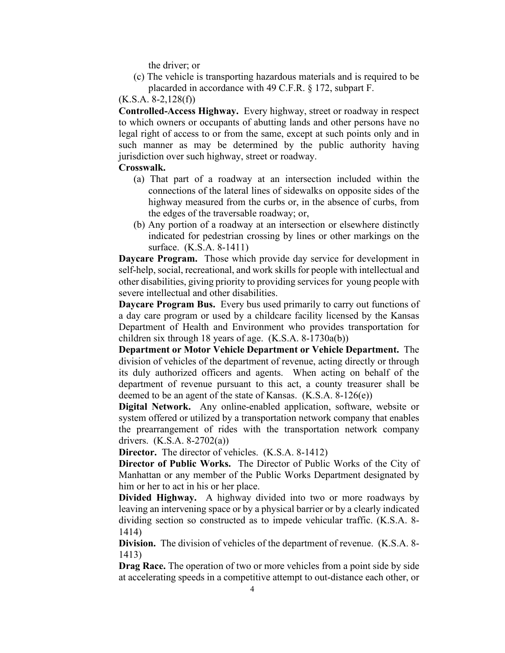the driver; or

(c) The vehicle is transporting hazardous materials and is required to be placarded in accordance with 49 C.F.R. § 172, subpart F.

```
(K.S.A. 8-2,128(f))
```
**Controlled-Access Highway.** Every highway, street or roadway in respect to which owners or occupants of abutting lands and other persons have no legal right of access to or from the same, except at such points only and in such manner as may be determined by the public authority having jurisdiction over such highway, street or roadway.

# **Crosswalk.**

- (a) That part of a roadway at an intersection included within the connections of the lateral lines of sidewalks on opposite sides of the highway measured from the curbs or, in the absence of curbs, from the edges of the traversable roadway; or,
- (b) Any portion of a roadway at an intersection or elsewhere distinctly indicated for pedestrian crossing by lines or other markings on the surface. (K.S.A. 8-1411)

**Daycare Program.** Those which provide day service for development in self-help, social, recreational, and work skills for people with intellectual and other disabilities, giving priority to providing services for young people with severe intellectual and other disabilities.

**Daycare Program Bus.** Every bus used primarily to carry out functions of a day care program or used by a childcare facility licensed by the Kansas Department of Health and Environment who provides transportation for children six through 18 years of age. (K.S.A. 8-1730a(b))

**Department or Motor Vehicle Department or Vehicle Department.** The division of vehicles of the department of revenue, acting directly or through its duly authorized officers and agents. When acting on behalf of the department of revenue pursuant to this act, a county treasurer shall be deemed to be an agent of the state of Kansas. (K.S.A. 8-126(e))

**Digital Network.** Any online-enabled application, software, website or system offered or utilized by a transportation network company that enables the prearrangement of rides with the transportation network company drivers. (K.S.A. 8-2702(a))

**Director.** The director of vehicles. (K.S.A. 8-1412)

**Director of Public Works.** The Director of Public Works of the City of Manhattan or any member of the Public Works Department designated by him or her to act in his or her place.

**Divided Highway.** A highway divided into two or more roadways by leaving an intervening space or by a physical barrier or by a clearly indicated dividing section so constructed as to impede vehicular traffic. (K.S.A. 8- 1414)

**Division.** The division of vehicles of the department of revenue. (K.S.A. 8- 1413)

**Drag Race.** The operation of two or more vehicles from a point side by side at accelerating speeds in a competitive attempt to out-distance each other, or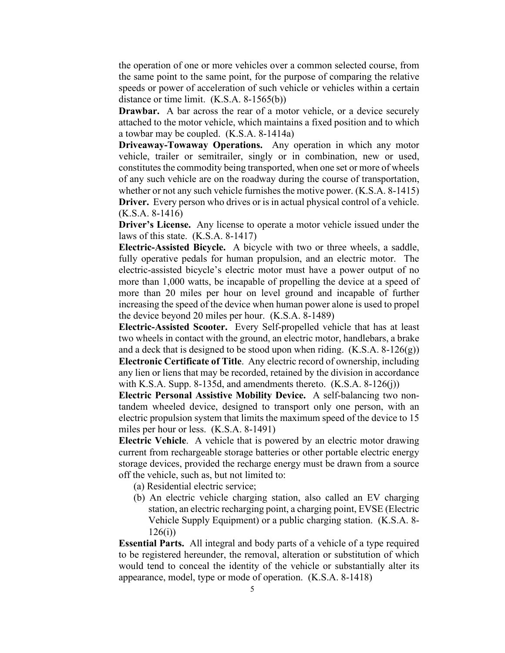the operation of one or more vehicles over a common selected course, from the same point to the same point, for the purpose of comparing the relative speeds or power of acceleration of such vehicle or vehicles within a certain distance or time limit. (K.S.A. 8-1565(b))

**Drawbar.** A bar across the rear of a motor vehicle, or a device securely attached to the motor vehicle, which maintains a fixed position and to which a towbar may be coupled. (K.S.A. 8-1414a)

**Driveaway-Towaway Operations.** Any operation in which any motor vehicle, trailer or semitrailer, singly or in combination, new or used, constitutes the commodity being transported, when one set or more of wheels of any such vehicle are on the roadway during the course of transportation, whether or not any such vehicle furnishes the motive power. (K.S.A. 8-1415) **Driver.** Every person who drives or is in actual physical control of a vehicle.

(K.S.A. 8-1416)

**Driver's License.** Any license to operate a motor vehicle issued under the laws of this state. (K.S.A. 8-1417)

**Electric-Assisted Bicycle.** A bicycle with two or three wheels, a saddle, fully operative pedals for human propulsion, and an electric motor. The electric-assisted bicycle's electric motor must have a power output of no more than 1,000 watts, be incapable of propelling the device at a speed of more than 20 miles per hour on level ground and incapable of further increasing the speed of the device when human power alone is used to propel the device beyond 20 miles per hour. (K.S.A. 8-1489)

**Electric-Assisted Scooter.** Every Self-propelled vehicle that has at least two wheels in contact with the ground, an electric motor, handlebars, a brake and a deck that is designed to be stood upon when riding.  $(K.S.A. 8-126(g))$ **Electronic Certificate of Title**. Any electric record of ownership, including any lien or liens that may be recorded, retained by the division in accordance with K.S.A. Supp. 8-135d, and amendments thereto.  $(K.S.A. 8-126(i))$ 

**Electric Personal Assistive Mobility Device.** A self-balancing two nontandem wheeled device, designed to transport only one person, with an electric propulsion system that limits the maximum speed of the device to 15 miles per hour or less. (K.S.A. 8-1491)

**Electric Vehicle**. A vehicle that is powered by an electric motor drawing current from rechargeable storage batteries or other portable electric energy storage devices, provided the recharge energy must be drawn from a source off the vehicle, such as, but not limited to:

(a) Residential electric service;

(b) An electric vehicle charging station, also called an EV charging station, an electric recharging point, a charging point, EVSE (Electric Vehicle Supply Equipment) or a public charging station. (K.S.A. 8- 126(i))

**Essential Parts.** All integral and body parts of a vehicle of a type required to be registered hereunder, the removal, alteration or substitution of which would tend to conceal the identity of the vehicle or substantially alter its appearance, model, type or mode of operation. (K.S.A. 8-1418)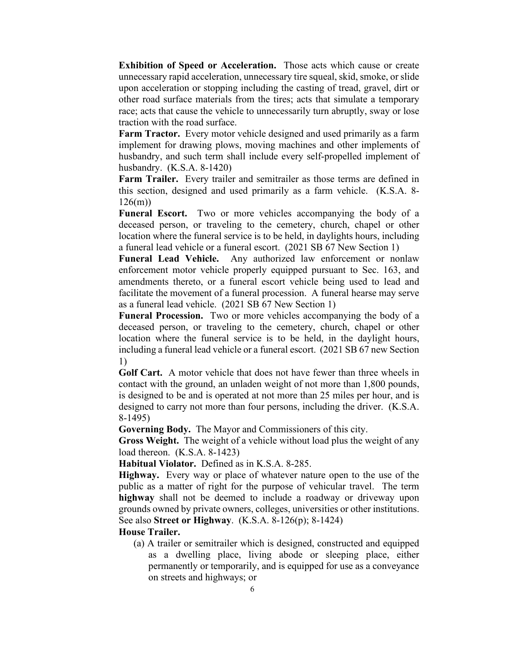**Exhibition of Speed or Acceleration.** Those acts which cause or create unnecessary rapid acceleration, unnecessary tire squeal, skid, smoke, or slide upon acceleration or stopping including the casting of tread, gravel, dirt or other road surface materials from the tires; acts that simulate a temporary race; acts that cause the vehicle to unnecessarily turn abruptly, sway or lose traction with the road surface.

**Farm Tractor.** Every motor vehicle designed and used primarily as a farm implement for drawing plows, moving machines and other implements of husbandry, and such term shall include every self-propelled implement of husbandry. (K.S.A. 8-1420)

**Farm Trailer.** Every trailer and semitrailer as those terms are defined in this section, designed and used primarily as a farm vehicle. (K.S.A. 8- 126(m))

**Funeral Escort.** Two or more vehicles accompanying the body of a deceased person, or traveling to the cemetery, church, chapel or other location where the funeral service is to be held, in daylights hours, including a funeral lead vehicle or a funeral escort. (2021 SB 67 New Section 1)

**Funeral Lead Vehicle.** Any authorized law enforcement or nonlaw enforcement motor vehicle properly equipped pursuant to Sec. 163, and amendments thereto, or a funeral escort vehicle being used to lead and facilitate the movement of a funeral procession. A funeral hearse may serve as a funeral lead vehicle. (2021 SB 67 New Section 1)

**Funeral Procession.** Two or more vehicles accompanying the body of a deceased person, or traveling to the cemetery, church, chapel or other location where the funeral service is to be held, in the daylight hours, including a funeral lead vehicle or a funeral escort. (2021 SB 67 new Section 1)

**Golf Cart.** A motor vehicle that does not have fewer than three wheels in contact with the ground, an unladen weight of not more than 1,800 pounds, is designed to be and is operated at not more than 25 miles per hour, and is designed to carry not more than four persons, including the driver. (K.S.A. 8-1495)

**Governing Body.** The Mayor and Commissioners of this city.

**Gross Weight.** The weight of a vehicle without load plus the weight of any load thereon. (K.S.A. 8-1423)

**Habitual Violator.** Defined as in K.S.A. 8-285.

**Highway.** Every way or place of whatever nature open to the use of the public as a matter of right for the purpose of vehicular travel. The term **highway** shall not be deemed to include a roadway or driveway upon grounds owned by private owners, colleges, universities or other institutions. See also **Street or Highway**. (K.S.A. 8-126(p); 8-1424)

### **House Trailer.**

(a) A trailer or semitrailer which is designed, constructed and equipped as a dwelling place, living abode or sleeping place, either permanently or temporarily, and is equipped for use as a conveyance on streets and highways; or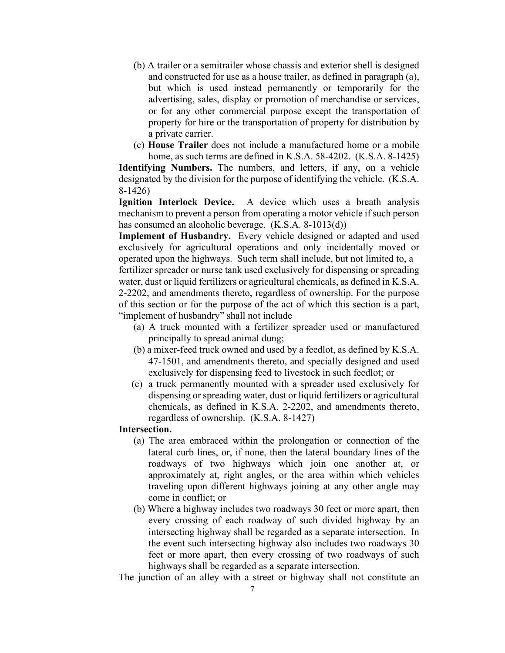- (b) A trailer or a semitrailer whose chassis and exterior shell is designed and constructed for use as a house trailer, as defined in paragraph (a), but which is used instead permanently or temporarily for the advertising, sales, display or promotion of merchandise or services, or for any other commercial purpose except the transportation of property for hire or the transportation of property for distribution by a private carrier.
- (c) **House Trailer** does not include a manufactured home or a mobile home, as such terms are defined in K.S.A. 58-4202. (K.S.A. 8-1425)

**Identifying Numbers.** The numbers, and letters, if any, on a vehicle designated by the division for the purpose of identifying the vehicle. (K.S.A. 8-1426)

**Ignition Interlock Device.** A device which uses a breath analysis mechanism to prevent a person from operating a motor vehicle if such person has consumed an alcoholic beverage. (K.S.A. 8-1013(d))

**Implement of Husbandry.** Every vehicle designed or adapted and used exclusively for agricultural operations and only incidentally moved or operated upon the highways. Such term shall include, but not limited to, a fertilizer spreader or nurse tank used exclusively for dispensing or spreading water, dust or liquid fertilizers or agricultural chemicals, as defined in K.S.A. 2-2202, and amendments thereto, regardless of ownership. For the purpose of this section or for the purpose of the act of which this section is a part, "implement of husbandry" shall not include

- (a) A truck mounted with a fertilizer spreader used or manufactured principally to spread animal dung;
- (b) a mixer-feed truck owned and used by a feedlot, as defined by K.S.A. 47-1501, and amendments thereto, and specially designed and used exclusively for dispensing feed to livestock in such feedlot; or
- (c) a truck permanently mounted with a spreader used exclusively for dispensing or spreading water, dust or liquid fertilizers or agricultural chemicals, as defined in K.S.A. 2-2202, and amendments thereto, regardless of ownership. (K.S.A. 8-1427)

#### **Intersection.**

- (a) The area embraced within the prolongation or connection of the lateral curb lines, or, if none, then the lateral boundary lines of the roadways of two highways which join one another at, or approximately at, right angles, or the area within which vehicles traveling upon different highways joining at any other angle may come in conflict; or
- (b) Where a highway includes two roadways 30 feet or more apart, then every crossing of each roadway of such divided highway by an intersecting highway shall be regarded as a separate intersection. In the event such intersecting highway also includes two roadways 30 feet or more apart, then every crossing of two roadways of such highways shall be regarded as a separate intersection.

The junction of an alley with a street or highway shall not constitute an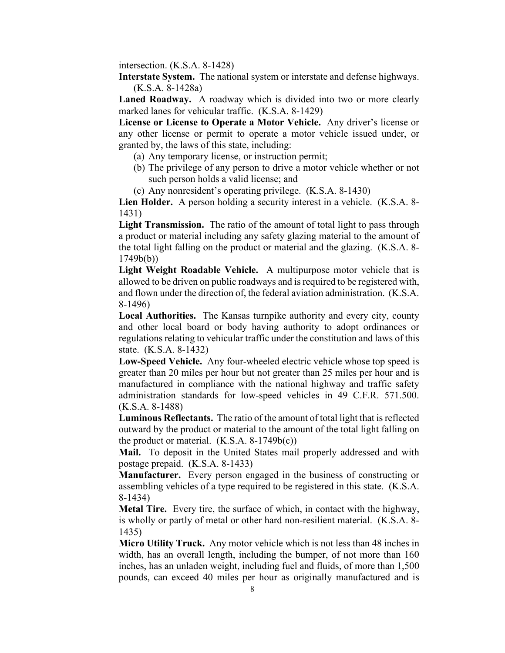intersection. (K.S.A. 8-1428)

**Interstate System.** The national system or interstate and defense highways. (K.S.A. 8-1428a)

**Laned Roadway.** A roadway which is divided into two or more clearly marked lanes for vehicular traffic. (K.S.A. 8-1429)

**License or License to Operate a Motor Vehicle.** Any driver's license or any other license or permit to operate a motor vehicle issued under, or granted by, the laws of this state, including:

- (a) Any temporary license, or instruction permit;
- (b) The privilege of any person to drive a motor vehicle whether or not such person holds a valid license; and
- (c) Any nonresident's operating privilege. (K.S.A. 8-1430)

**Lien Holder.** A person holding a security interest in a vehicle. (K.S.A. 8- 1431)

**Light Transmission.** The ratio of the amount of total light to pass through a product or material including any safety glazing material to the amount of the total light falling on the product or material and the glazing. (K.S.A. 8- 1749b(b))

**Light Weight Roadable Vehicle.** A multipurpose motor vehicle that is allowed to be driven on public roadways and is required to be registered with, and flown under the direction of, the federal aviation administration. (K.S.A. 8-1496)

**Local Authorities.** The Kansas turnpike authority and every city, county and other local board or body having authority to adopt ordinances or regulations relating to vehicular traffic under the constitution and laws of this state. (K.S.A. 8-1432)

**Low-Speed Vehicle.** Any four-wheeled electric vehicle whose top speed is greater than 20 miles per hour but not greater than 25 miles per hour and is manufactured in compliance with the national highway and traffic safety administration standards for low-speed vehicles in 49 C.F.R. 571.500. (K.S.A. 8-1488)

**Luminous Reflectants.** The ratio of the amount of total light that is reflected outward by the product or material to the amount of the total light falling on the product or material.  $(K.S.A. 8-1749b(c))$ 

**Mail.** To deposit in the United States mail properly addressed and with postage prepaid. (K.S.A. 8-1433)

**Manufacturer.** Every person engaged in the business of constructing or assembling vehicles of a type required to be registered in this state. (K.S.A. 8-1434)

**Metal Tire.** Every tire, the surface of which, in contact with the highway, is wholly or partly of metal or other hard non-resilient material. (K.S.A. 8- 1435)

**Micro Utility Truck.** Any motor vehicle which is not less than 48 inches in width, has an overall length, including the bumper, of not more than 160 inches, has an unladen weight, including fuel and fluids, of more than 1,500 pounds, can exceed 40 miles per hour as originally manufactured and is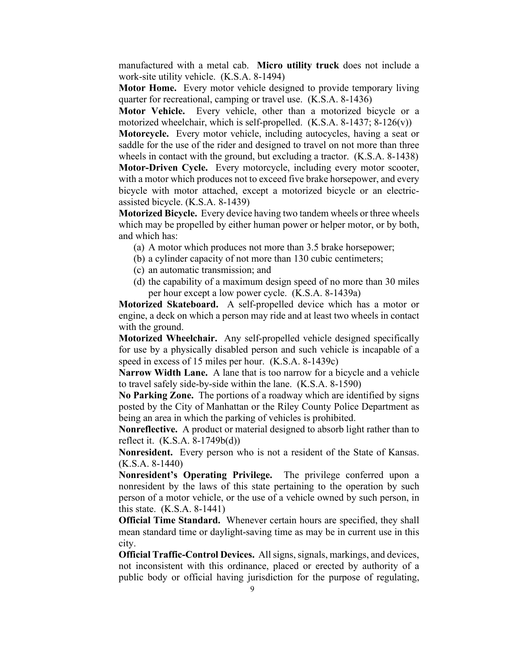manufactured with a metal cab. **Micro utility truck** does not include a work-site utility vehicle. (K.S.A. 8-1494)

**Motor Home.** Every motor vehicle designed to provide temporary living quarter for recreational, camping or travel use. (K.S.A. 8-1436)

**Motor Vehicle.** Every vehicle, other than a motorized bicycle or a motorized wheelchair, which is self-propelled. (K.S.A. 8-1437; 8-126(v))

**Motorcycle.** Every motor vehicle, including autocycles, having a seat or saddle for the use of the rider and designed to travel on not more than three wheels in contact with the ground, but excluding a tractor. (K.S.A. 8-1438)

**Motor-Driven Cycle.** Every motorcycle, including every motor scooter, with a motor which produces not to exceed five brake horsepower, and every bicycle with motor attached, except a motorized bicycle or an electricassisted bicycle. (K.S.A. 8-1439)

**Motorized Bicycle.** Every device having two tandem wheels or three wheels which may be propelled by either human power or helper motor, or by both, and which has:

- (a) A motor which produces not more than 3.5 brake horsepower;
- (b) a cylinder capacity of not more than 130 cubic centimeters;
- (c) an automatic transmission; and
- (d) the capability of a maximum design speed of no more than 30 miles per hour except a low power cycle. (K.S.A. 8-1439a)

**Motorized Skateboard.** A self-propelled device which has a motor or engine, a deck on which a person may ride and at least two wheels in contact with the ground.

**Motorized Wheelchair.** Any self-propelled vehicle designed specifically for use by a physically disabled person and such vehicle is incapable of a speed in excess of 15 miles per hour. (K.S.A. 8-1439c)

**Narrow Width Lane.** A lane that is too narrow for a bicycle and a vehicle to travel safely side-by-side within the lane. (K.S.A. 8-1590)

**No Parking Zone.** The portions of a roadway which are identified by signs posted by the City of Manhattan or the Riley County Police Department as being an area in which the parking of vehicles is prohibited.

**Nonreflective.** A product or material designed to absorb light rather than to reflect it. (K.S.A. 8-1749b(d))

**Nonresident.** Every person who is not a resident of the State of Kansas. (K.S.A. 8-1440)

**Nonresident's Operating Privilege.** The privilege conferred upon a nonresident by the laws of this state pertaining to the operation by such person of a motor vehicle, or the use of a vehicle owned by such person, in this state. (K.S.A. 8-1441)

**Official Time Standard.** Whenever certain hours are specified, they shall mean standard time or daylight-saving time as may be in current use in this city.

**Official Traffic-Control Devices.** All signs, signals, markings, and devices, not inconsistent with this ordinance, placed or erected by authority of a public body or official having jurisdiction for the purpose of regulating,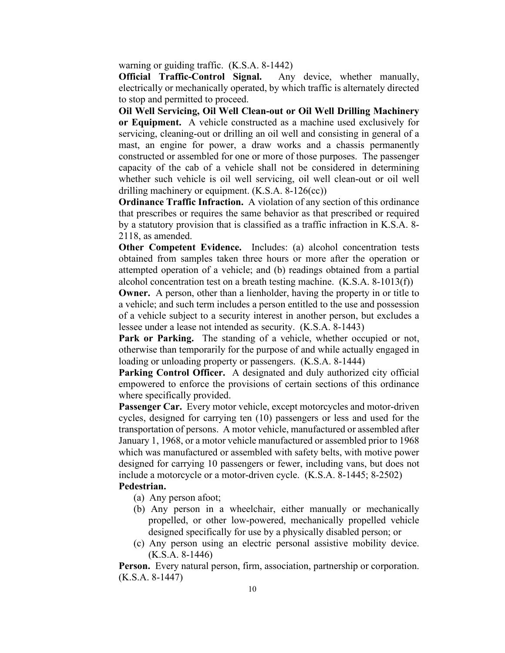warning or guiding traffic. (K.S.A. 8-1442)

**Official Traffic-Control Signal.** Any device, whether manually, electrically or mechanically operated, by which traffic is alternately directed to stop and permitted to proceed.

**Oil Well Servicing, Oil Well Clean-out or Oil Well Drilling Machinery or Equipment.** A vehicle constructed as a machine used exclusively for servicing, cleaning-out or drilling an oil well and consisting in general of a mast, an engine for power, a draw works and a chassis permanently constructed or assembled for one or more of those purposes. The passenger capacity of the cab of a vehicle shall not be considered in determining whether such vehicle is oil well servicing, oil well clean-out or oil well drilling machinery or equipment. (K.S.A. 8-126(cc))

**Ordinance Traffic Infraction.** A violation of any section of this ordinance that prescribes or requires the same behavior as that prescribed or required by a statutory provision that is classified as a traffic infraction in K.S.A. 8- 2118, as amended.

**Other Competent Evidence.** Includes: (a) alcohol concentration tests obtained from samples taken three hours or more after the operation or attempted operation of a vehicle; and (b) readings obtained from a partial alcohol concentration test on a breath testing machine. (K.S.A. 8-1013(f))

**Owner.** A person, other than a lienholder, having the property in or title to a vehicle; and such term includes a person entitled to the use and possession of a vehicle subject to a security interest in another person, but excludes a lessee under a lease not intended as security. (K.S.A. 8-1443)

Park or Parking. The standing of a vehicle, whether occupied or not, otherwise than temporarily for the purpose of and while actually engaged in loading or unloading property or passengers. (K.S.A. 8-1444)

Parking Control Officer. A designated and duly authorized city official empowered to enforce the provisions of certain sections of this ordinance where specifically provided.

**Passenger Car.** Every motor vehicle, except motorcycles and motor-driven cycles, designed for carrying ten (10) passengers or less and used for the transportation of persons. A motor vehicle, manufactured or assembled after January 1, 1968, or a motor vehicle manufactured or assembled prior to 1968 which was manufactured or assembled with safety belts, with motive power designed for carrying 10 passengers or fewer, including vans, but does not include a motorcycle or a motor-driven cycle. (K.S.A. 8-1445; 8-2502)

# **Pedestrian.**

- (a) Any person afoot;
- (b) Any person in a wheelchair, either manually or mechanically propelled, or other low-powered, mechanically propelled vehicle designed specifically for use by a physically disabled person; or
- (c) Any person using an electric personal assistive mobility device. (K.S.A. 8-1446)

**Person.** Every natural person, firm, association, partnership or corporation. (K.S.A. 8-1447)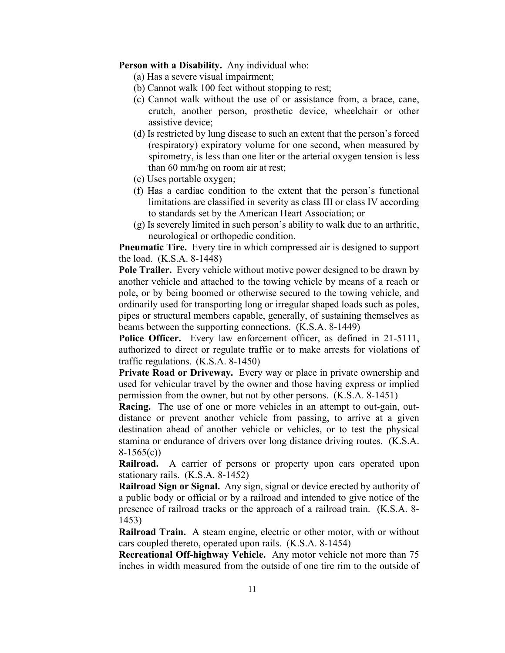### **Person with a Disability.** Any individual who:

- (a) Has a severe visual impairment;
- (b) Cannot walk 100 feet without stopping to rest;
- (c) Cannot walk without the use of or assistance from, a brace, cane, crutch, another person, prosthetic device, wheelchair or other assistive device;
- (d) Is restricted by lung disease to such an extent that the person's forced (respiratory) expiratory volume for one second, when measured by spirometry, is less than one liter or the arterial oxygen tension is less than 60 mm/hg on room air at rest;
- (e) Uses portable oxygen;
- (f) Has a cardiac condition to the extent that the person's functional limitations are classified in severity as class III or class IV according to standards set by the American Heart Association; or
- (g) Is severely limited in such person's ability to walk due to an arthritic, neurological or orthopedic condition.

**Pneumatic Tire.** Every tire in which compressed air is designed to support the load. (K.S.A. 8-1448)

**Pole Trailer.** Every vehicle without motive power designed to be drawn by another vehicle and attached to the towing vehicle by means of a reach or pole, or by being boomed or otherwise secured to the towing vehicle, and ordinarily used for transporting long or irregular shaped loads such as poles, pipes or structural members capable, generally, of sustaining themselves as beams between the supporting connections. (K.S.A. 8-1449)

Police Officer. Every law enforcement officer, as defined in 21-5111, authorized to direct or regulate traffic or to make arrests for violations of traffic regulations. (K.S.A. 8-1450)

**Private Road or Driveway.** Every way or place in private ownership and used for vehicular travel by the owner and those having express or implied permission from the owner, but not by other persons. (K.S.A. 8-1451)

**Racing.** The use of one or more vehicles in an attempt to out-gain, outdistance or prevent another vehicle from passing, to arrive at a given destination ahead of another vehicle or vehicles, or to test the physical stamina or endurance of drivers over long distance driving routes. (K.S.A. 8-1565(c))

**Railroad.** A carrier of persons or property upon cars operated upon stationary rails. (K.S.A. 8-1452)

**Railroad Sign or Signal.** Any sign, signal or device erected by authority of a public body or official or by a railroad and intended to give notice of the presence of railroad tracks or the approach of a railroad train. (K.S.A. 8- 1453)

**Railroad Train.** A steam engine, electric or other motor, with or without cars coupled thereto, operated upon rails. (K.S.A. 8-1454)

**Recreational Off-highway Vehicle.** Any motor vehicle not more than 75 inches in width measured from the outside of one tire rim to the outside of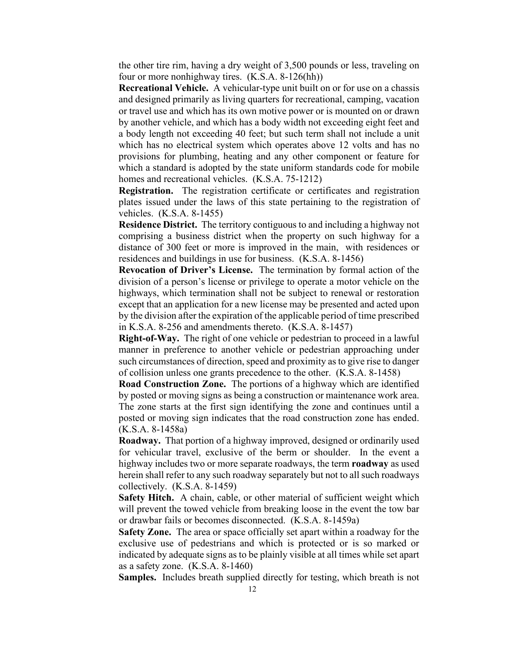the other tire rim, having a dry weight of 3,500 pounds or less, traveling on four or more nonhighway tires. (K.S.A. 8-126(hh))

**Recreational Vehicle.** A vehicular-type unit built on or for use on a chassis and designed primarily as living quarters for recreational, camping, vacation or travel use and which has its own motive power or is mounted on or drawn by another vehicle, and which has a body width not exceeding eight feet and a body length not exceeding 40 feet; but such term shall not include a unit which has no electrical system which operates above 12 volts and has no provisions for plumbing, heating and any other component or feature for which a standard is adopted by the state uniform standards code for mobile homes and recreational vehicles. (K.S.A. 75-1212)

**Registration.** The registration certificate or certificates and registration plates issued under the laws of this state pertaining to the registration of vehicles. (K.S.A. 8-1455)

**Residence District.** The territory contiguous to and including a highway not comprising a business district when the property on such highway for a distance of 300 feet or more is improved in the main, with residences or residences and buildings in use for business. (K.S.A. 8-1456)

**Revocation of Driver's License.** The termination by formal action of the division of a person's license or privilege to operate a motor vehicle on the highways, which termination shall not be subject to renewal or restoration except that an application for a new license may be presented and acted upon by the division after the expiration of the applicable period of time prescribed in K.S.A. 8-256 and amendments thereto. (K.S.A. 8-1457)

**Right-of-Way.** The right of one vehicle or pedestrian to proceed in a lawful manner in preference to another vehicle or pedestrian approaching under such circumstances of direction, speed and proximity as to give rise to danger of collision unless one grants precedence to the other. (K.S.A. 8-1458)

**Road Construction Zone.** The portions of a highway which are identified by posted or moving signs as being a construction or maintenance work area. The zone starts at the first sign identifying the zone and continues until a posted or moving sign indicates that the road construction zone has ended. (K.S.A. 8-1458a)

**Roadway.** That portion of a highway improved, designed or ordinarily used for vehicular travel, exclusive of the berm or shoulder. In the event a highway includes two or more separate roadways, the term **roadway** as used herein shall refer to any such roadway separately but not to all such roadways collectively. (K.S.A. 8-1459)

**Safety Hitch.** A chain, cable, or other material of sufficient weight which will prevent the towed vehicle from breaking loose in the event the tow bar or drawbar fails or becomes disconnected. (K.S.A. 8-1459a)

**Safety Zone.** The area or space officially set apart within a roadway for the exclusive use of pedestrians and which is protected or is so marked or indicated by adequate signs as to be plainly visible at all times while set apart as a safety zone. (K.S.A. 8-1460)

**Samples.** Includes breath supplied directly for testing, which breath is not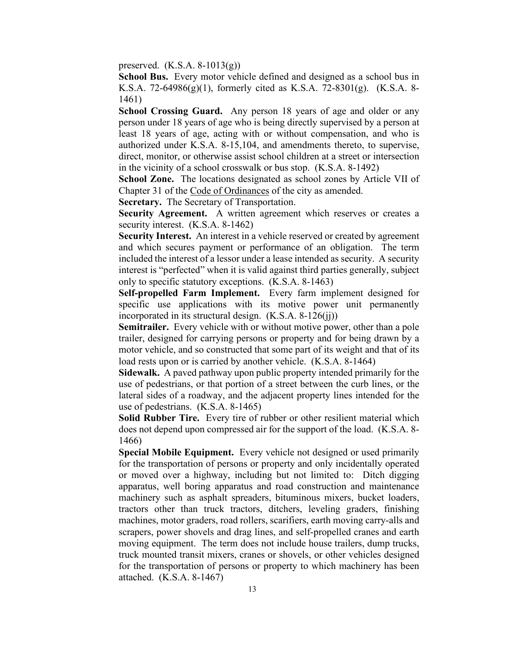preserved.  $(K.S.A. 8-1013(g))$ 

**School Bus.** Every motor vehicle defined and designed as a school bus in K.S.A. 72-64986(g)(1), formerly cited as K.S.A. 72-8301(g). (K.S.A. 8- 1461)

**School Crossing Guard.** Any person 18 years of age and older or any person under 18 years of age who is being directly supervised by a person at least 18 years of age, acting with or without compensation, and who is authorized under K.S.A. 8-15,104, and amendments thereto, to supervise, direct, monitor, or otherwise assist school children at a street or intersection in the vicinity of a school crosswalk or bus stop. (K.S.A. 8-1492)

**School Zone.** The locations designated as school zones by Article VII of Chapter 31 of the Code of Ordinances of the city as amended.

**Secretary.** The Secretary of Transportation.

**Security Agreement.** A written agreement which reserves or creates a security interest. (K.S.A. 8-1462)

**Security Interest.** An interest in a vehicle reserved or created by agreement and which secures payment or performance of an obligation. The term included the interest of a lessor under a lease intended as security. A security interest is "perfected" when it is valid against third parties generally, subject only to specific statutory exceptions. (K.S.A. 8-1463)

**Self-propelled Farm Implement.** Every farm implement designed for specific use applications with its motive power unit permanently incorporated in its structural design. (K.S.A. 8-126(jj))

**Semitrailer.** Every vehicle with or without motive power, other than a pole trailer, designed for carrying persons or property and for being drawn by a motor vehicle, and so constructed that some part of its weight and that of its load rests upon or is carried by another vehicle. (K.S.A. 8-1464)

**Sidewalk.** A paved pathway upon public property intended primarily for the use of pedestrians, or that portion of a street between the curb lines, or the lateral sides of a roadway, and the adjacent property lines intended for the use of pedestrians. (K.S.A. 8-1465)

**Solid Rubber Tire.** Every tire of rubber or other resilient material which does not depend upon compressed air for the support of the load. (K.S.A. 8- 1466)

**Special Mobile Equipment.** Every vehicle not designed or used primarily for the transportation of persons or property and only incidentally operated or moved over a highway, including but not limited to: Ditch digging apparatus, well boring apparatus and road construction and maintenance machinery such as asphalt spreaders, bituminous mixers, bucket loaders, tractors other than truck tractors, ditchers, leveling graders, finishing machines, motor graders, road rollers, scarifiers, earth moving carry-alls and scrapers, power shovels and drag lines, and self-propelled cranes and earth moving equipment. The term does not include house trailers, dump trucks, truck mounted transit mixers, cranes or shovels, or other vehicles designed for the transportation of persons or property to which machinery has been attached. (K.S.A. 8-1467)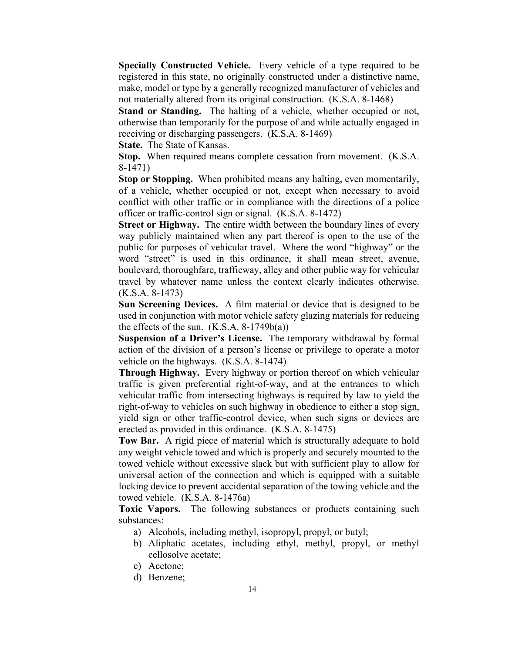**Specially Constructed Vehicle.** Every vehicle of a type required to be registered in this state, no originally constructed under a distinctive name, make, model or type by a generally recognized manufacturer of vehicles and not materially altered from its original construction. (K.S.A. 8-1468)

**Stand or Standing.** The halting of a vehicle, whether occupied or not, otherwise than temporarily for the purpose of and while actually engaged in receiving or discharging passengers. (K.S.A. 8-1469)

**State.** The State of Kansas.

**Stop.** When required means complete cessation from movement. (K.S.A. 8-1471)

**Stop or Stopping.** When prohibited means any halting, even momentarily, of a vehicle, whether occupied or not, except when necessary to avoid conflict with other traffic or in compliance with the directions of a police officer or traffic-control sign or signal. (K.S.A. 8-1472)

**Street or Highway.** The entire width between the boundary lines of every way publicly maintained when any part thereof is open to the use of the public for purposes of vehicular travel. Where the word "highway" or the word "street" is used in this ordinance, it shall mean street, avenue, boulevard, thoroughfare, trafficway, alley and other public way for vehicular travel by whatever name unless the context clearly indicates otherwise. (K.S.A. 8-1473)

**Sun Screening Devices.** A film material or device that is designed to be used in conjunction with motor vehicle safety glazing materials for reducing the effects of the sun.  $(K.S.A. 8-1749b(a))$ 

**Suspension of a Driver's License.** The temporary withdrawal by formal action of the division of a person's license or privilege to operate a motor vehicle on the highways. (K.S.A. 8-1474)

**Through Highway.** Every highway or portion thereof on which vehicular traffic is given preferential right-of-way, and at the entrances to which vehicular traffic from intersecting highways is required by law to yield the right-of-way to vehicles on such highway in obedience to either a stop sign, yield sign or other traffic-control device, when such signs or devices are erected as provided in this ordinance. (K.S.A. 8-1475)

**Tow Bar.** A rigid piece of material which is structurally adequate to hold any weight vehicle towed and which is properly and securely mounted to the towed vehicle without excessive slack but with sufficient play to allow for universal action of the connection and which is equipped with a suitable locking device to prevent accidental separation of the towing vehicle and the towed vehicle. (K.S.A. 8-1476a)

**Toxic Vapors.** The following substances or products containing such substances:

- a) Alcohols, including methyl, isopropyl, propyl, or butyl;
- b) Aliphatic acetates, including ethyl, methyl, propyl, or methyl cellosolve acetate;
- c) Acetone;
- d) Benzene;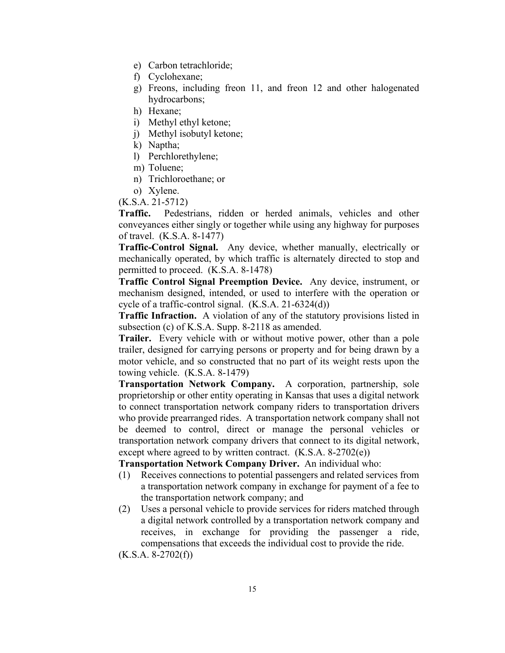- e) Carbon tetrachloride;
- f) Cyclohexane;
- g) Freons, including freon 11, and freon 12 and other halogenated hydrocarbons;
- h) Hexane;
- i) Methyl ethyl ketone;
- j) Methyl isobutyl ketone;
- k) Naptha;
- l) Perchlorethylene;
- m) Toluene;
- n) Trichloroethane; or
- o) Xylene.
- (K.S.A. 21-5712)

**Traffic.** Pedestrians, ridden or herded animals, vehicles and other conveyances either singly or together while using any highway for purposes of travel. (K.S.A. 8-1477)

**Traffic-Control Signal.** Any device, whether manually, electrically or mechanically operated, by which traffic is alternately directed to stop and permitted to proceed. (K.S.A. 8-1478)

**Traffic Control Signal Preemption Device.** Any device, instrument, or mechanism designed, intended, or used to interfere with the operation or cycle of a traffic-control signal. (K.S.A. 21-6324(d))

**Traffic Infraction.** A violation of any of the statutory provisions listed in subsection (c) of K.S.A. Supp. 8-2118 as amended.

**Trailer.** Every vehicle with or without motive power, other than a pole trailer, designed for carrying persons or property and for being drawn by a motor vehicle, and so constructed that no part of its weight rests upon the towing vehicle. (K.S.A. 8-1479)

**Transportation Network Company.** A corporation, partnership, sole proprietorship or other entity operating in Kansas that uses a digital network to connect transportation network company riders to transportation drivers who provide prearranged rides. A transportation network company shall not be deemed to control, direct or manage the personal vehicles or transportation network company drivers that connect to its digital network, except where agreed to by written contract. (K.S.A. 8-2702(e))

**Transportation Network Company Driver.** An individual who:

- (1) Receives connections to potential passengers and related services from a transportation network company in exchange for payment of a fee to the transportation network company; and
- (2) Uses a personal vehicle to provide services for riders matched through a digital network controlled by a transportation network company and receives, in exchange for providing the passenger a ride, compensations that exceeds the individual cost to provide the ride.

 $(K.S.A. 8-2702(f))$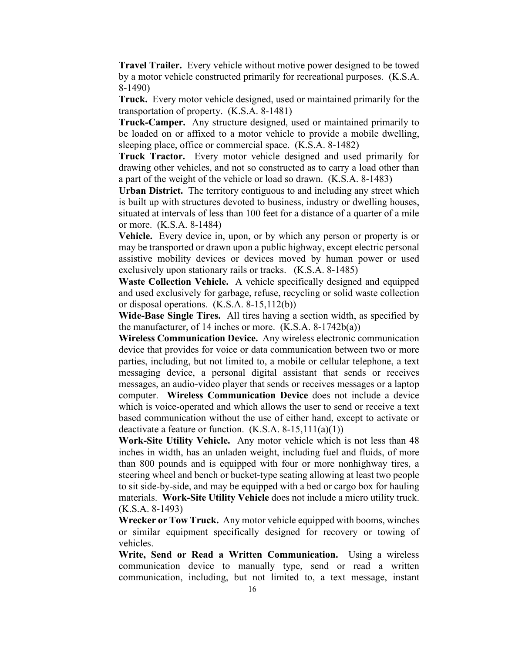**Travel Trailer.** Every vehicle without motive power designed to be towed by a motor vehicle constructed primarily for recreational purposes. (K.S.A. 8-1490)

**Truck.** Every motor vehicle designed, used or maintained primarily for the transportation of property. (K.S.A. 8-1481)

**Truck-Camper.** Any structure designed, used or maintained primarily to be loaded on or affixed to a motor vehicle to provide a mobile dwelling, sleeping place, office or commercial space. (K.S.A. 8-1482)

**Truck Tractor.** Every motor vehicle designed and used primarily for drawing other vehicles, and not so constructed as to carry a load other than a part of the weight of the vehicle or load so drawn. (K.S.A. 8-1483)

**Urban District.** The territory contiguous to and including any street which is built up with structures devoted to business, industry or dwelling houses, situated at intervals of less than 100 feet for a distance of a quarter of a mile or more. (K.S.A. 8-1484)

**Vehicle.** Every device in, upon, or by which any person or property is or may be transported or drawn upon a public highway, except electric personal assistive mobility devices or devices moved by human power or used exclusively upon stationary rails or tracks. (K.S.A. 8-1485)

**Waste Collection Vehicle.** A vehicle specifically designed and equipped and used exclusively for garbage, refuse, recycling or solid waste collection or disposal operations. (K.S.A. 8-15,112(b))

**Wide-Base Single Tires.** All tires having a section width, as specified by the manufacturer, of 14 inches or more.  $(K.S.A. 8-1742b(a))$ 

**Wireless Communication Device.** Any wireless electronic communication device that provides for voice or data communication between two or more parties, including, but not limited to, a mobile or cellular telephone, a text messaging device, a personal digital assistant that sends or receives messages, an audio-video player that sends or receives messages or a laptop computer. **Wireless Communication Device** does not include a device which is voice-operated and which allows the user to send or receive a text based communication without the use of either hand, except to activate or deactivate a feature or function.  $(K.S.A. 8-15,111(a)(1))$ 

**Work-Site Utility Vehicle.** Any motor vehicle which is not less than 48 inches in width, has an unladen weight, including fuel and fluids, of more than 800 pounds and is equipped with four or more nonhighway tires, a steering wheel and bench or bucket-type seating allowing at least two people to sit side-by-side, and may be equipped with a bed or cargo box for hauling materials. **Work-Site Utility Vehicle** does not include a micro utility truck. (K.S.A. 8-1493)

**Wrecker or Tow Truck.** Any motor vehicle equipped with booms, winches or similar equipment specifically designed for recovery or towing of vehicles.

**Write, Send or Read a Written Communication.** Using a wireless communication device to manually type, send or read a written communication, including, but not limited to, a text message, instant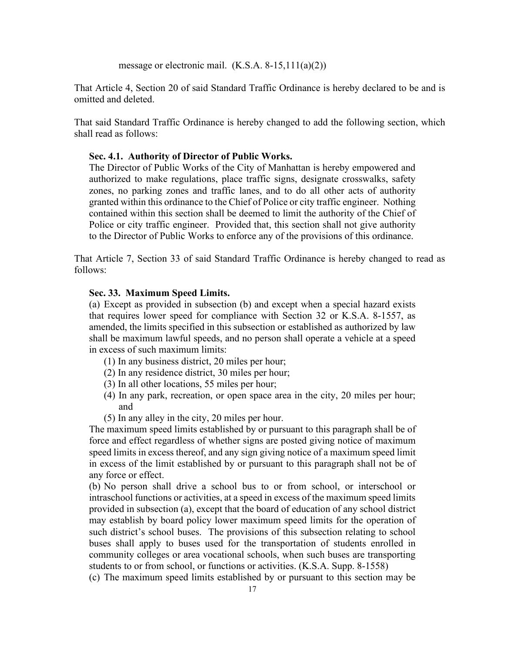message or electronic mail. (K.S.A. 8-15,111(a)(2))

That Article 4, Section 20 of said Standard Traffic Ordinance is hereby declared to be and is omitted and deleted.

That said Standard Traffic Ordinance is hereby changed to add the following section, which shall read as follows:

### **Sec. 4.1. Authority of Director of Public Works.**

The Director of Public Works of the City of Manhattan is hereby empowered and authorized to make regulations, place traffic signs, designate crosswalks, safety zones, no parking zones and traffic lanes, and to do all other acts of authority granted within this ordinance to the Chief of Police or city traffic engineer. Nothing contained within this section shall be deemed to limit the authority of the Chief of Police or city traffic engineer. Provided that, this section shall not give authority to the Director of Public Works to enforce any of the provisions of this ordinance.

That Article 7, Section 33 of said Standard Traffic Ordinance is hereby changed to read as follows:

### **Sec. 33. Maximum Speed Limits.**

(a) Except as provided in subsection (b) and except when a special hazard exists that requires lower speed for compliance with Section 32 or K.S.A. 8-1557, as amended, the limits specified in this subsection or established as authorized by law shall be maximum lawful speeds, and no person shall operate a vehicle at a speed in excess of such maximum limits:

- (1) In any business district, 20 miles per hour;
- (2) In any residence district, 30 miles per hour;
- (3) In all other locations, 55 miles per hour;
- (4) In any park, recreation, or open space area in the city, 20 miles per hour; and
- (5) In any alley in the city, 20 miles per hour.

The maximum speed limits established by or pursuant to this paragraph shall be of force and effect regardless of whether signs are posted giving notice of maximum speed limits in excess thereof, and any sign giving notice of a maximum speed limit in excess of the limit established by or pursuant to this paragraph shall not be of any force or effect.

(b) No person shall drive a school bus to or from school, or interschool or intraschool functions or activities, at a speed in excess of the maximum speed limits provided in subsection (a), except that the board of education of any school district may establish by board policy lower maximum speed limits for the operation of such district's school buses. The provisions of this subsection relating to school buses shall apply to buses used for the transportation of students enrolled in community colleges or area vocational schools, when such buses are transporting students to or from school, or functions or activities. (K.S.A. Supp. 8-1558)

(c) The maximum speed limits established by or pursuant to this section may be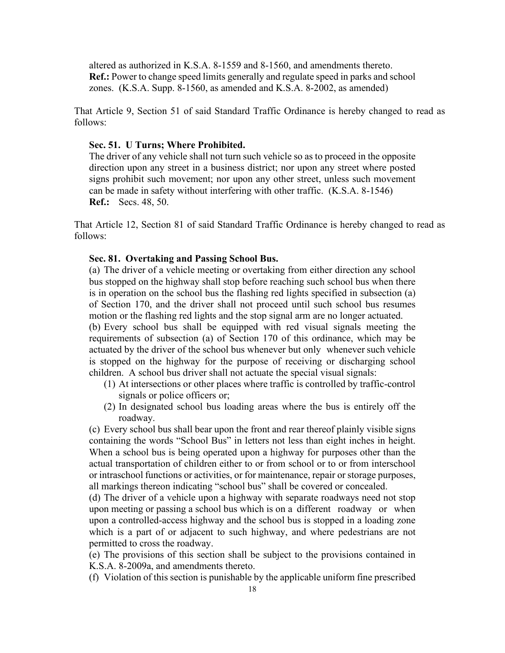altered as authorized in K.S.A. 8-1559 and 8-1560, and amendments thereto. **Ref.:** Power to change speed limits generally and regulate speed in parks and school zones. (K.S.A. Supp. 8-1560, as amended and K.S.A. 8-2002, as amended)

That Article 9, Section 51 of said Standard Traffic Ordinance is hereby changed to read as follows:

### **Sec. 51. U Turns; Where Prohibited.**

The driver of any vehicle shall not turn such vehicle so as to proceed in the opposite direction upon any street in a business district; nor upon any street where posted signs prohibit such movement; nor upon any other street, unless such movement can be made in safety without interfering with other traffic. (K.S.A. 8-1546) **Ref.:** Secs. 48, 50.

That Article 12, Section 81 of said Standard Traffic Ordinance is hereby changed to read as follows:

### **Sec. 81. Overtaking and Passing School Bus.**

(a) The driver of a vehicle meeting or overtaking from either direction any school bus stopped on the highway shall stop before reaching such school bus when there is in operation on the school bus the flashing red lights specified in subsection (a) of Section 170, and the driver shall not proceed until such school bus resumes motion or the flashing red lights and the stop signal arm are no longer actuated.

(b) Every school bus shall be equipped with red visual signals meeting the requirements of subsection (a) of Section 170 of this ordinance, which may be actuated by the driver of the school bus whenever but only whenever such vehicle is stopped on the highway for the purpose of receiving or discharging school children. A school bus driver shall not actuate the special visual signals:

- (1) At intersections or other places where traffic is controlled by traffic-control signals or police officers or;
- (2) In designated school bus loading areas where the bus is entirely off the roadway.

(c) Every school bus shall bear upon the front and rear thereof plainly visible signs containing the words "School Bus" in letters not less than eight inches in height. When a school bus is being operated upon a highway for purposes other than the actual transportation of children either to or from school or to or from interschool or intraschool functions or activities, or for maintenance, repair or storage purposes, all markings thereon indicating "school bus" shall be covered or concealed.

(d) The driver of a vehicle upon a highway with separate roadways need not stop upon meeting or passing a school bus which is on a different roadway or when upon a controlled-access highway and the school bus is stopped in a loading zone which is a part of or adjacent to such highway, and where pedestrians are not permitted to cross the roadway.

(e) The provisions of this section shall be subject to the provisions contained in K.S.A. 8-2009a, and amendments thereto.

(f) Violation of this section is punishable by the applicable uniform fine prescribed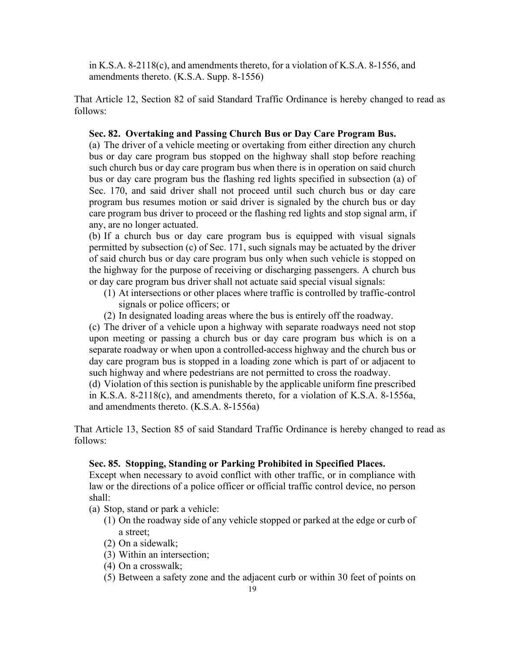in K.S.A. 8-2118(c), and amendments thereto, for a violation of K.S.A. 8-1556, and amendments thereto. (K.S.A. Supp. 8-1556)

That Article 12, Section 82 of said Standard Traffic Ordinance is hereby changed to read as follows:

### **Sec. 82. Overtaking and Passing Church Bus or Day Care Program Bus.**

(a) The driver of a vehicle meeting or overtaking from either direction any church bus or day care program bus stopped on the highway shall stop before reaching such church bus or day care program bus when there is in operation on said church bus or day care program bus the flashing red lights specified in subsection (a) of Sec. 170, and said driver shall not proceed until such church bus or day care program bus resumes motion or said driver is signaled by the church bus or day care program bus driver to proceed or the flashing red lights and stop signal arm, if any, are no longer actuated.

(b) If a church bus or day care program bus is equipped with visual signals permitted by subsection (c) of Sec. 171, such signals may be actuated by the driver of said church bus or day care program bus only when such vehicle is stopped on the highway for the purpose of receiving or discharging passengers. A church bus or day care program bus driver shall not actuate said special visual signals:

- (1) At intersections or other places where traffic is controlled by traffic-control signals or police officers; or
- (2) In designated loading areas where the bus is entirely off the roadway.

(c) The driver of a vehicle upon a highway with separate roadways need not stop upon meeting or passing a church bus or day care program bus which is on a separate roadway or when upon a controlled-access highway and the church bus or day care program bus is stopped in a loading zone which is part of or adjacent to such highway and where pedestrians are not permitted to cross the roadway.

(d) Violation of this section is punishable by the applicable uniform fine prescribed in K.S.A. 8-2118(c), and amendments thereto, for a violation of K.S.A. 8-1556a, and amendments thereto. (K.S.A. 8-1556a)

That Article 13, Section 85 of said Standard Traffic Ordinance is hereby changed to read as follows:

### **Sec. 85. Stopping, Standing or Parking Prohibited in Specified Places.**

Except when necessary to avoid conflict with other traffic, or in compliance with law or the directions of a police officer or official traffic control device, no person shall:

- (a) Stop, stand or park a vehicle:
	- (1) On the roadway side of any vehicle stopped or parked at the edge or curb of a street;
	- (2) On a sidewalk;
	- (3) Within an intersection;
	- (4) On a crosswalk;
	- (5) Between a safety zone and the adjacent curb or within 30 feet of points on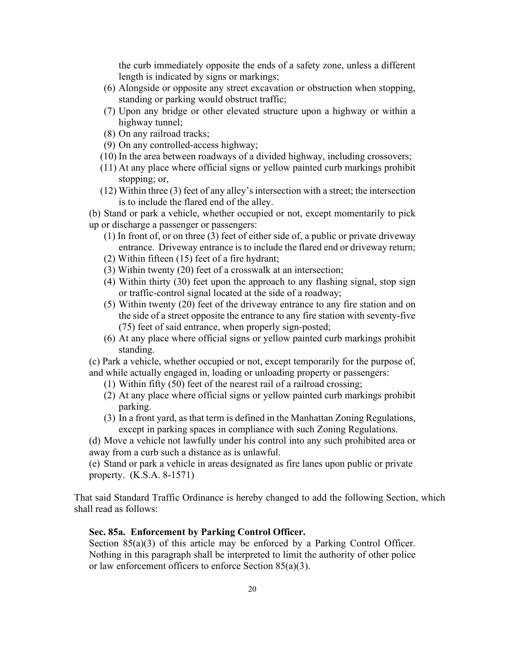the curb immediately opposite the ends of a safety zone, unless a different length is indicated by signs or markings;

- (6) Alongside or opposite any street excavation or obstruction when stopping, standing or parking would obstruct traffic;
- (7) Upon any bridge or other elevated structure upon a highway or within a highway tunnel;
- (8) On any railroad tracks;
- (9) On any controlled-access highway;
- (10) In the area between roadways of a divided highway, including crossovers;
- (11) At any place where official signs or yellow painted curb markings prohibit stopping; or,
- (12) Within three (3) feet of any alley's intersection with a street; the intersection is to include the flared end of the alley.

(b) Stand or park a vehicle, whether occupied or not, except momentarily to pick up or discharge a passenger or passengers:

- (1) In front of, or on three (3) feet of either side of, a public or private driveway entrance. Driveway entrance is to include the flared end or driveway return;
- (2) Within fifteen (15) feet of a fire hydrant;
- (3) Within twenty (20) feet of a crosswalk at an intersection;
- (4) Within thirty (30) feet upon the approach to any flashing signal, stop sign or traffic-control signal located at the side of a roadway;
- (5) Within twenty (20) feet of the driveway entrance to any fire station and on the side of a street opposite the entrance to any fire station with seventy-five (75) feet of said entrance, when properly sign-posted;
- (6) At any place where official signs or yellow painted curb markings prohibit standing.

(c) Park a vehicle, whether occupied or not, except temporarily for the purpose of, and while actually engaged in, loading or unloading property or passengers:

- (1) Within fifty (50) feet of the nearest rail of a railroad crossing;
- (2) At any place where official signs or yellow painted curb markings prohibit parking.
- (3) In a front yard, as that term is defined in the Manhattan Zoning Regulations, except in parking spaces in compliance with such Zoning Regulations.

(d) Move a vehicle not lawfully under his control into any such prohibited area or away from a curb such a distance as is unlawful.

(e) Stand or park a vehicle in areas designated as fire lanes upon public or private property. (K.S.A. 8-1571)

That said Standard Traffic Ordinance is hereby changed to add the following Section, which shall read as follows:

### **Sec. 85a. Enforcement by Parking Control Officer.**

Section  $85(a)(3)$  of this article may be enforced by a Parking Control Officer. Nothing in this paragraph shall be interpreted to limit the authority of other police or law enforcement officers to enforce Section 85(a)(3).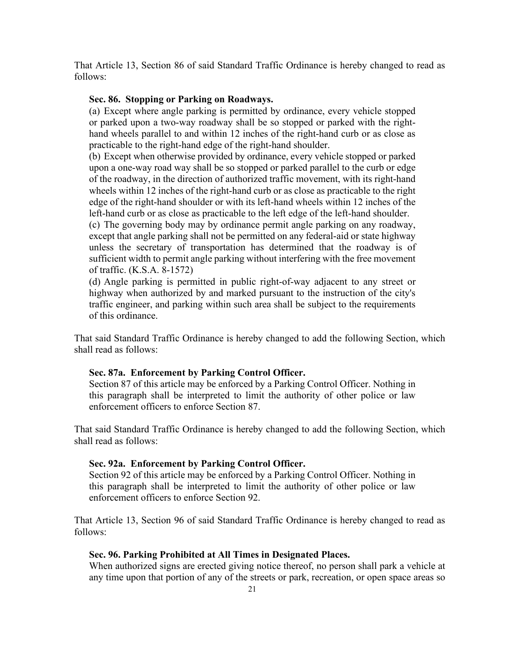That Article 13, Section 86 of said Standard Traffic Ordinance is hereby changed to read as follows:

### **Sec. 86. Stopping or Parking on Roadways.**

(a) Except where angle parking is permitted by ordinance, every vehicle stopped or parked upon a two-way roadway shall be so stopped or parked with the righthand wheels parallel to and within 12 inches of the right-hand curb or as close as practicable to the right-hand edge of the right-hand shoulder.

(b) Except when otherwise provided by ordinance, every vehicle stopped or parked upon a one-way road way shall be so stopped or parked parallel to the curb or edge of the roadway, in the direction of authorized traffic movement, with its right-hand wheels within 12 inches of the right-hand curb or as close as practicable to the right edge of the right-hand shoulder or with its left-hand wheels within 12 inches of the left-hand curb or as close as practicable to the left edge of the left-hand shoulder.

(c) The governing body may by ordinance permit angle parking on any roadway, except that angle parking shall not be permitted on any federal-aid or state highway unless the secretary of transportation has determined that the roadway is of sufficient width to permit angle parking without interfering with the free movement of traffic. (K.S.A. 8-1572)

(d) Angle parking is permitted in public right-of-way adjacent to any street or highway when authorized by and marked pursuant to the instruction of the city's traffic engineer, and parking within such area shall be subject to the requirements of this ordinance.

That said Standard Traffic Ordinance is hereby changed to add the following Section, which shall read as follows:

#### **Sec. 87a. Enforcement by Parking Control Officer.**

Section 87 of this article may be enforced by a Parking Control Officer. Nothing in this paragraph shall be interpreted to limit the authority of other police or law enforcement officers to enforce Section 87.

That said Standard Traffic Ordinance is hereby changed to add the following Section, which shall read as follows:

#### **Sec. 92a. Enforcement by Parking Control Officer.**

Section 92 of this article may be enforced by a Parking Control Officer. Nothing in this paragraph shall be interpreted to limit the authority of other police or law enforcement officers to enforce Section 92.

That Article 13, Section 96 of said Standard Traffic Ordinance is hereby changed to read as follows:

### **Sec. 96. Parking Prohibited at All Times in Designated Places.**

When authorized signs are erected giving notice thereof, no person shall park a vehicle at any time upon that portion of any of the streets or park, recreation, or open space areas so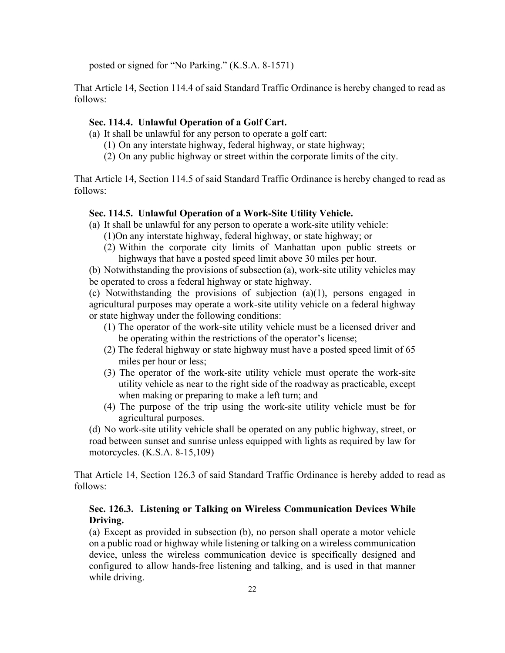posted or signed for "No Parking." (K.S.A. 8-1571)

That Article 14, Section 114.4 of said Standard Traffic Ordinance is hereby changed to read as follows:

### **Sec. 114.4. Unlawful Operation of a Golf Cart.**

(a) It shall be unlawful for any person to operate a golf cart:

- (1) On any interstate highway, federal highway, or state highway;
- (2) On any public highway or street within the corporate limits of the city.

That Article 14, Section 114.5 of said Standard Traffic Ordinance is hereby changed to read as follows:

### **Sec. 114.5. Unlawful Operation of a Work-Site Utility Vehicle.**

- (a) It shall be unlawful for any person to operate a work-site utility vehicle:
	- (1)On any interstate highway, federal highway, or state highway; or
	- (2) Within the corporate city limits of Manhattan upon public streets or highways that have a posted speed limit above 30 miles per hour.

(b) Notwithstanding the provisions of subsection (a), work-site utility vehicles may be operated to cross a federal highway or state highway.

(c) Notwithstanding the provisions of subjection  $(a)(1)$ , persons engaged in agricultural purposes may operate a work-site utility vehicle on a federal highway or state highway under the following conditions:

- (1) The operator of the work-site utility vehicle must be a licensed driver and be operating within the restrictions of the operator's license;
- (2) The federal highway or state highway must have a posted speed limit of 65 miles per hour or less;
- (3) The operator of the work-site utility vehicle must operate the work-site utility vehicle as near to the right side of the roadway as practicable, except when making or preparing to make a left turn; and
- (4) The purpose of the trip using the work-site utility vehicle must be for agricultural purposes.

(d) No work-site utility vehicle shall be operated on any public highway, street, or road between sunset and sunrise unless equipped with lights as required by law for motorcycles. (K.S.A. 8-15,109)

That Article 14, Section 126.3 of said Standard Traffic Ordinance is hereby added to read as follows:

# **Sec. 126.3. Listening or Talking on Wireless Communication Devices While Driving.**

(a) Except as provided in subsection (b), no person shall operate a motor vehicle on a public road or highway while listening or talking on a wireless communication device, unless the wireless communication device is specifically designed and configured to allow hands-free listening and talking, and is used in that manner while driving.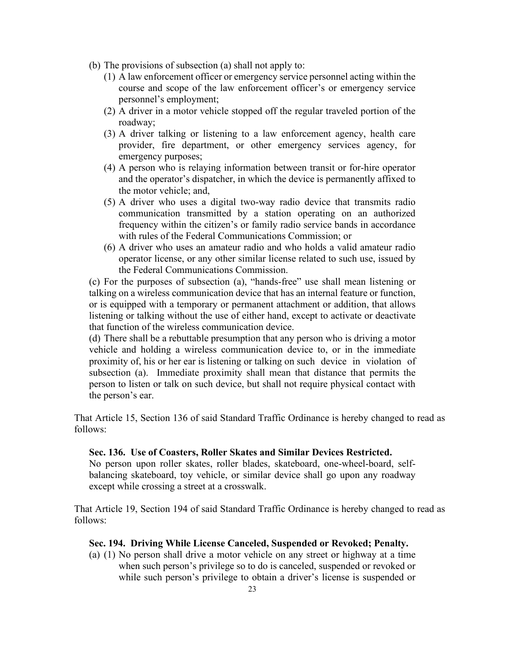- (b) The provisions of subsection (a) shall not apply to:
	- (1) A law enforcement officer or emergency service personnel acting within the course and scope of the law enforcement officer's or emergency service personnel's employment;
	- (2) A driver in a motor vehicle stopped off the regular traveled portion of the roadway;
	- (3) A driver talking or listening to a law enforcement agency, health care provider, fire department, or other emergency services agency, for emergency purposes;
	- (4) A person who is relaying information between transit or for-hire operator and the operator's dispatcher, in which the device is permanently affixed to the motor vehicle; and,
	- (5) A driver who uses a digital two-way radio device that transmits radio communication transmitted by a station operating on an authorized frequency within the citizen's or family radio service bands in accordance with rules of the Federal Communications Commission; or
	- (6) A driver who uses an amateur radio and who holds a valid amateur radio operator license, or any other similar license related to such use, issued by the Federal Communications Commission.

(c) For the purposes of subsection (a), "hands-free" use shall mean listening or talking on a wireless communication device that has an internal feature or function, or is equipped with a temporary or permanent attachment or addition, that allows listening or talking without the use of either hand, except to activate or deactivate that function of the wireless communication device.

(d) There shall be a rebuttable presumption that any person who is driving a motor vehicle and holding a wireless communication device to, or in the immediate proximity of, his or her ear is listening or talking on such device in violation of subsection (a). Immediate proximity shall mean that distance that permits the person to listen or talk on such device, but shall not require physical contact with the person's ear.

That Article 15, Section 136 of said Standard Traffic Ordinance is hereby changed to read as follows:

### **Sec. 136. Use of Coasters, Roller Skates and Similar Devices Restricted.**

No person upon roller skates, roller blades, skateboard, one-wheel-board, selfbalancing skateboard, toy vehicle, or similar device shall go upon any roadway except while crossing a street at a crosswalk.

That Article 19, Section 194 of said Standard Traffic Ordinance is hereby changed to read as follows:

### **Sec. 194. Driving While License Canceled, Suspended or Revoked; Penalty.**

(a) (1) No person shall drive a motor vehicle on any street or highway at a time when such person's privilege so to do is canceled, suspended or revoked or while such person's privilege to obtain a driver's license is suspended or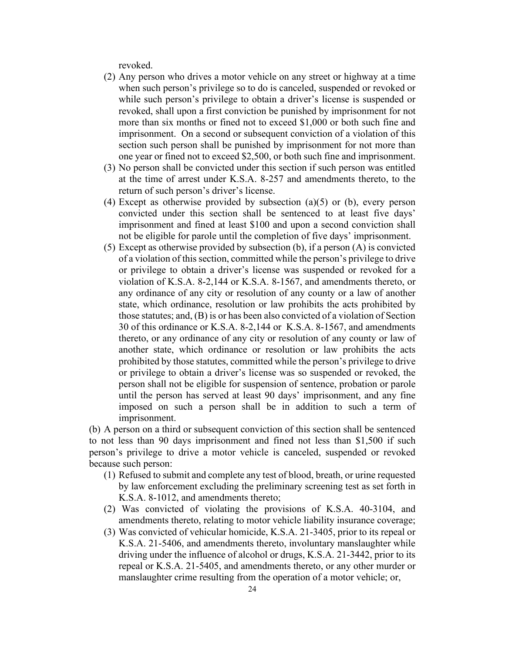revoked.

- (2) Any person who drives a motor vehicle on any street or highway at a time when such person's privilege so to do is canceled, suspended or revoked or while such person's privilege to obtain a driver's license is suspended or revoked, shall upon a first conviction be punished by imprisonment for not more than six months or fined not to exceed \$1,000 or both such fine and imprisonment. On a second or subsequent conviction of a violation of this section such person shall be punished by imprisonment for not more than one year or fined not to exceed \$2,500, or both such fine and imprisonment.
- (3) No person shall be convicted under this section if such person was entitled at the time of arrest under K.S.A. 8-257 and amendments thereto, to the return of such person's driver's license.
- (4) Except as otherwise provided by subsection (a)(5) or (b), every person convicted under this section shall be sentenced to at least five days' imprisonment and fined at least \$100 and upon a second conviction shall not be eligible for parole until the completion of five days' imprisonment.
- (5) Except as otherwise provided by subsection (b), if a person (A) is convicted of a violation of this section, committed while the person's privilege to drive or privilege to obtain a driver's license was suspended or revoked for a violation of K.S.A. 8-2,144 or K.S.A. 8-1567, and amendments thereto, or any ordinance of any city or resolution of any county or a law of another state, which ordinance, resolution or law prohibits the acts prohibited by those statutes; and, (B) is or has been also convicted of a violation of Section 30 of this ordinance or K.S.A. 8-2,144 or K.S.A. 8-1567, and amendments thereto, or any ordinance of any city or resolution of any county or law of another state, which ordinance or resolution or law prohibits the acts prohibited by those statutes, committed while the person's privilege to drive or privilege to obtain a driver's license was so suspended or revoked, the person shall not be eligible for suspension of sentence, probation or parole until the person has served at least 90 days' imprisonment, and any fine imposed on such a person shall be in addition to such a term of imprisonment.

(b) A person on a third or subsequent conviction of this section shall be sentenced to not less than 90 days imprisonment and fined not less than \$1,500 if such person's privilege to drive a motor vehicle is canceled, suspended or revoked because such person:

- (1) Refused to submit and complete any test of blood, breath, or urine requested by law enforcement excluding the preliminary screening test as set forth in K.S.A. 8-1012, and amendments thereto;
- (2) Was convicted of violating the provisions of K.S.A. 40-3104, and amendments thereto, relating to motor vehicle liability insurance coverage;
- (3) Was convicted of vehicular homicide, K.S.A. 21-3405, prior to its repeal or K.S.A. 21-5406, and amendments thereto, involuntary manslaughter while driving under the influence of alcohol or drugs, K.S.A. 21-3442, prior to its repeal or K.S.A. 21-5405, and amendments thereto, or any other murder or manslaughter crime resulting from the operation of a motor vehicle; or,